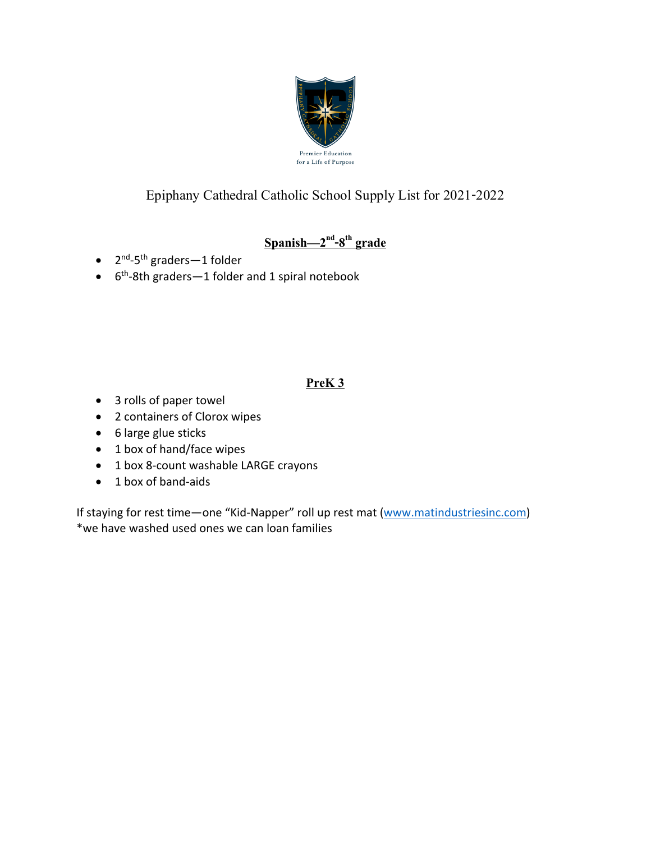

# $\frac{{\rm Spanish}}{2^{\rm nd}}$ -8<sup>th</sup> grade

- 2<sup>nd</sup>-5<sup>th</sup> graders-1 folder
- $\bullet$  6<sup>th</sup>-8th graders-1 folder and 1 spiral notebook

### **PreK 3**

- 3 rolls of paper towel
- 2 containers of Clorox wipes
- 6 large glue sticks
- 1 box of hand/face wipes
- 1 box 8-count washable LARGE crayons
- 1 box of band-aids

If staying for rest time—one "Kid-Napper" roll up rest mat (www.matindustriesinc.com) \*we have washed used ones we can loan families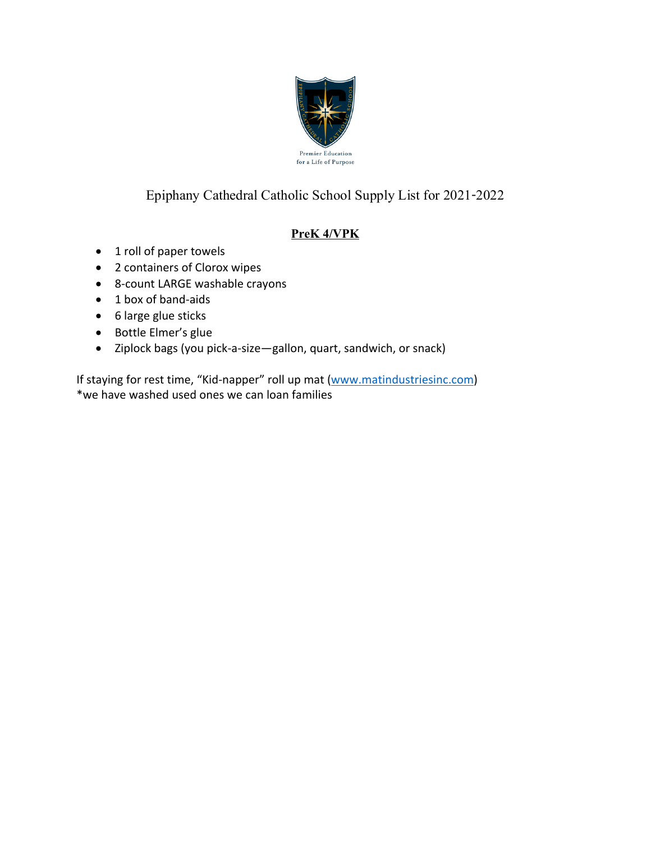

### **PreK 4/VPK**

- 1 roll of paper towels
- 2 containers of Clorox wipes
- 8-count LARGE washable crayons
- 1 box of band-aids
- 6 large glue sticks
- Bottle Elmer's glue
- Ziplock bags (you pick-a-size—gallon, quart, sandwich, or snack)

If staying for rest time, "Kid-napper" roll up mat (www.matindustriesinc.com) \*we have washed used ones we can loan families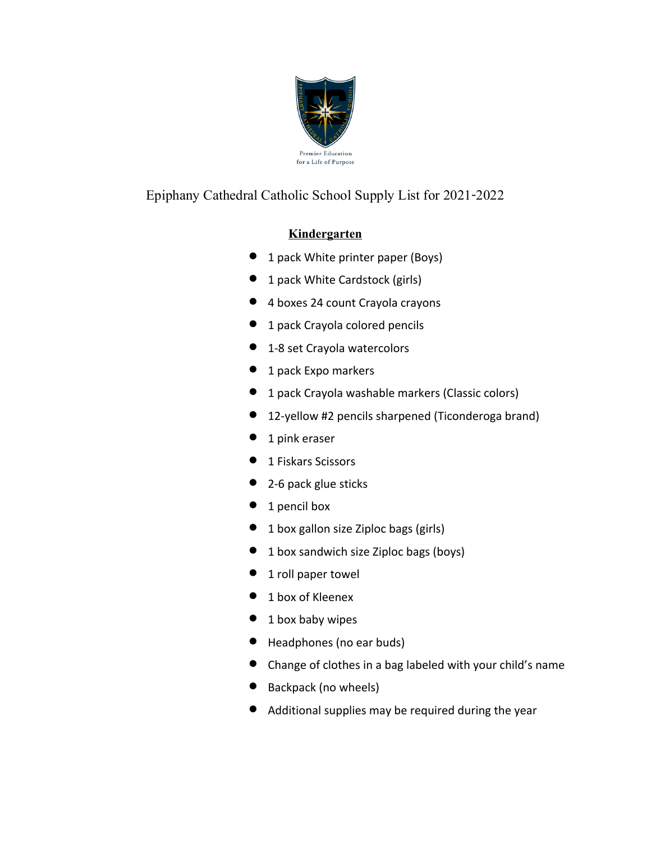

#### **Kindergarten**

- 1 pack White printer paper (Boys)
- 1 pack White Cardstock (girls)
- 4 boxes 24 count Crayola crayons
- **•** 1 pack Crayola colored pencils
- 1-8 set Crayola watercolors
- **•** 1 pack Expo markers
- 1 pack Crayola washable markers (Classic colors)
- 12-yellow #2 pencils sharpened (Ticonderoga brand)
- **•** 1 pink eraser
- **•** 1 Fiskars Scissors
- 2-6 pack glue sticks
- 1 pencil box
- 1 box gallon size Ziploc bags (girls)
- 1 box sandwich size Ziploc bags (boys)
- 1 roll paper towel
- 1 box of Kleenex
- 1 box baby wipes
- Headphones (no ear buds)
- Change of clothes in a bag labeled with your child's name
- Backpack (no wheels)
- Additional supplies may be required during the year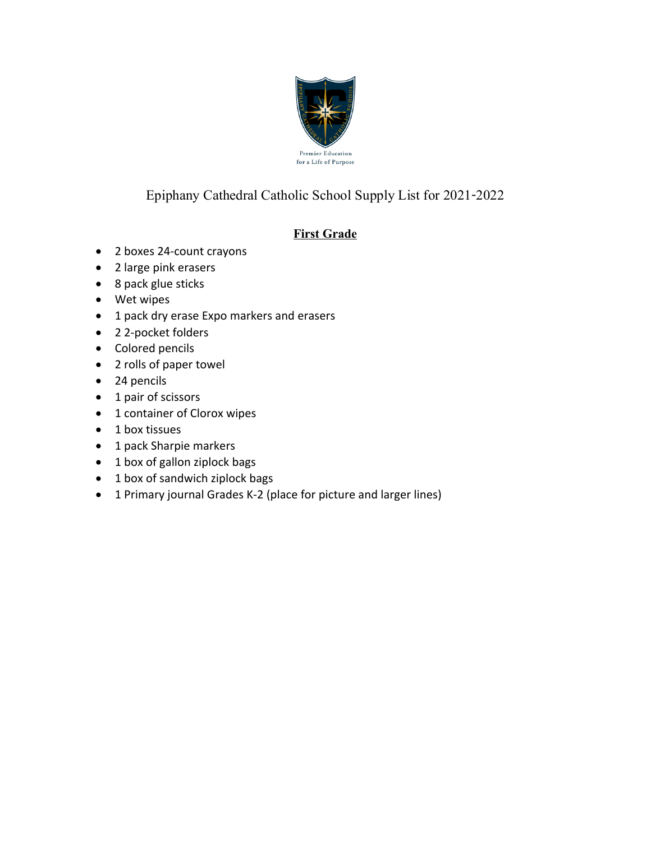

### **First Grade**

- 2 boxes 24-count crayons
- 2 large pink erasers
- 8 pack glue sticks
- Wet wipes
- 1 pack dry erase Expo markers and erasers
- 2 2-pocket folders
- Colored pencils
- 2 rolls of paper towel
- 24 pencils
- 1 pair of scissors
- 1 container of Clorox wipes
- 1 box tissues
- 1 pack Sharpie markers
- 1 box of gallon ziplock bags
- 1 box of sandwich ziplock bags
- 1 Primary journal Grades K-2 (place for picture and larger lines)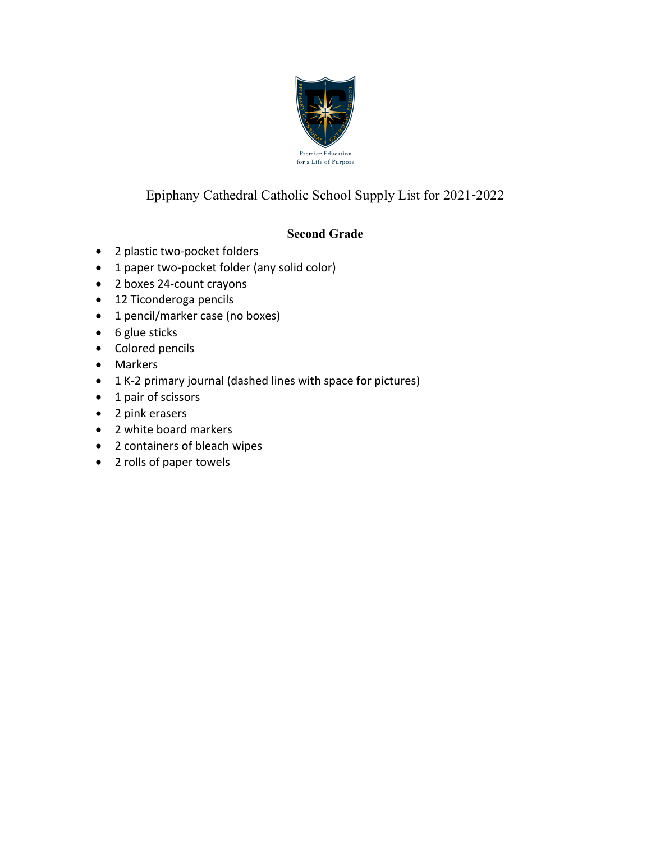

### **Second Grade**

- 2 plastic two-pocket folders
- 1 paper two-pocket folder (any solid color)
- 2 boxes 24-count crayons
- 12 Ticonderoga pencils
- 1 pencil/marker case (no boxes)
- 6 glue sticks
- Colored pencils
- Markers
- 1 K-2 primary journal (dashed lines with space for pictures)
- 1 pair of scissors
- 2 pink erasers
- 2 white board markers
- 2 containers of bleach wipes
- 2 rolls of paper towels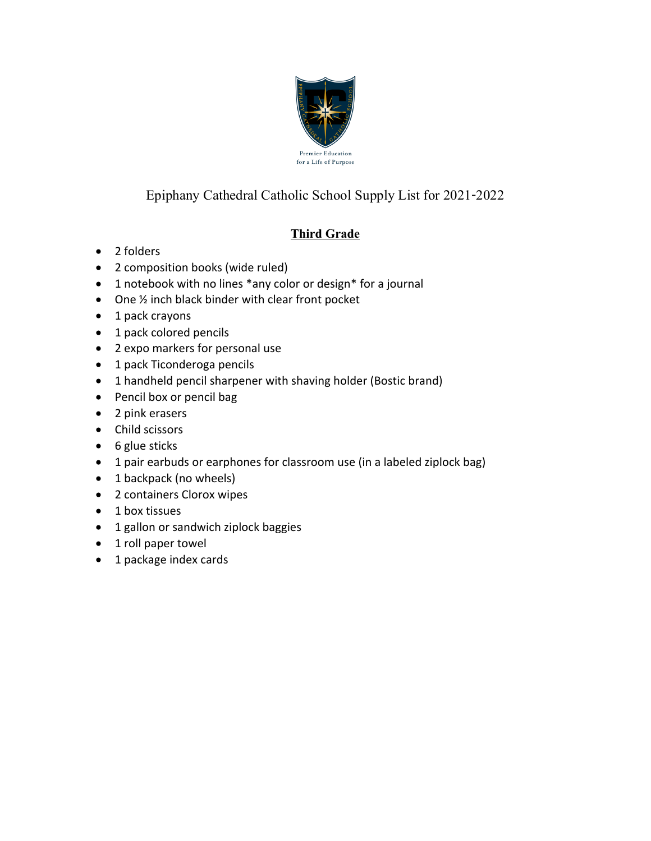

### **Third Grade**

- 2 folders
- 2 composition books (wide ruled)
- 1 notebook with no lines \*any color or design\* for a journal
- One ½ inch black binder with clear front pocket
- 1 pack crayons
- 1 pack colored pencils
- 2 expo markers for personal use
- 1 pack Ticonderoga pencils
- 1 handheld pencil sharpener with shaving holder (Bostic brand)
- Pencil box or pencil bag
- 2 pink erasers
- Child scissors
- 6 glue sticks
- 1 pair earbuds or earphones for classroom use (in a labeled ziplock bag)
- 1 backpack (no wheels)
- 2 containers Clorox wipes
- 1 box tissues
- 1 gallon or sandwich ziplock baggies
- 1 roll paper towel
- 1 package index cards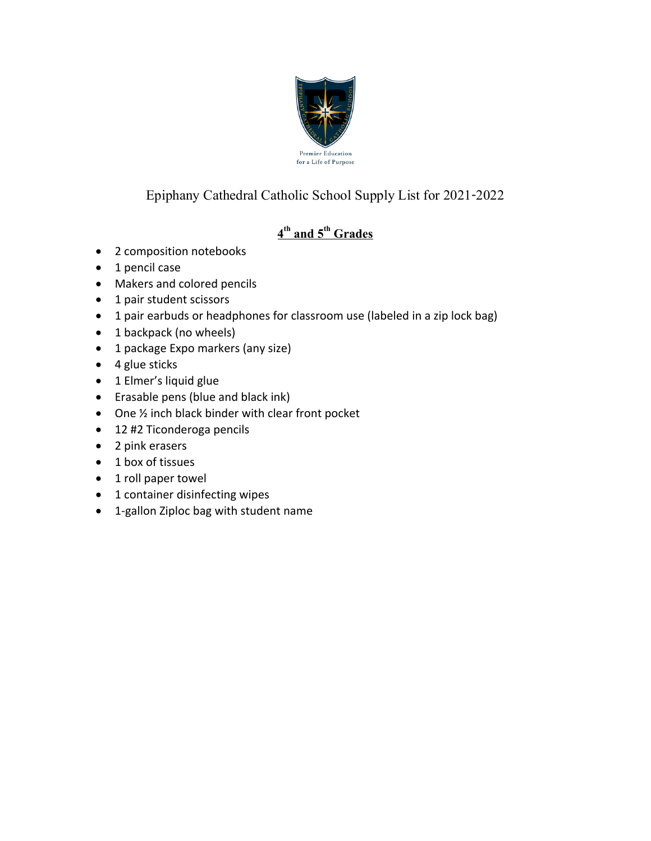

# **4 th and 5th Grades**

- 2 composition notebooks
- 1 pencil case
- Makers and colored pencils
- 1 pair student scissors
- 1 pair earbuds or headphones for classroom use (labeled in a zip lock bag)
- 1 backpack (no wheels)
- 1 package Expo markers (any size)
- 4 glue sticks
- 1 Elmer's liquid glue
- Erasable pens (blue and black ink)
- One ½ inch black binder with clear front pocket
- 12 #2 Ticonderoga pencils
- 2 pink erasers
- 1 box of tissues
- 1 roll paper towel
- 1 container disinfecting wipes
- 1-gallon Ziploc bag with student name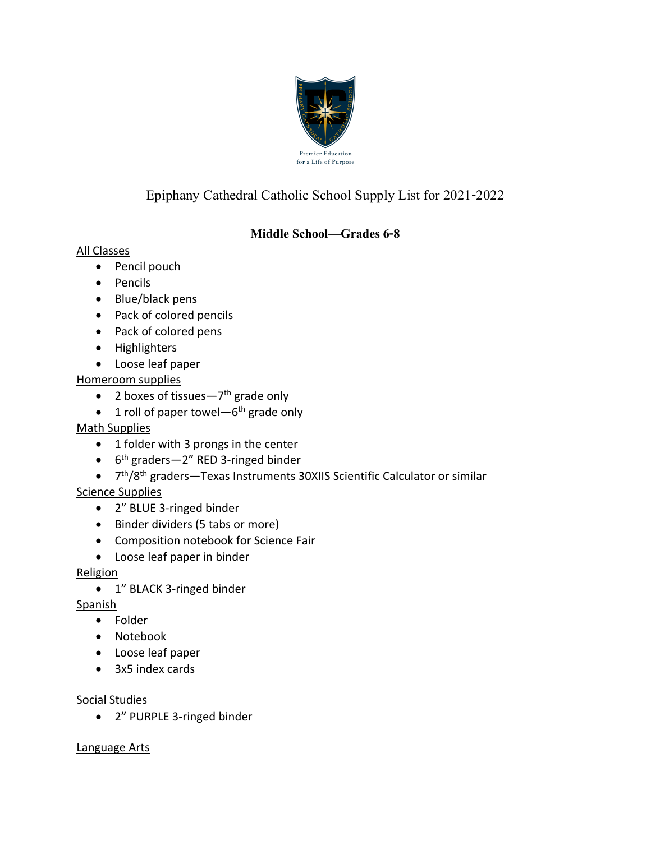

### **Middle School—Grades 6-8**

#### All Classes

- Pencil pouch
- Pencils
- Blue/black pens
- Pack of colored pencils
- Pack of colored pens
- Highlighters
- Loose leaf paper

Homeroom supplies

- 2 boxes of tissues $-7$ <sup>th</sup> grade only
- 1 roll of paper towel— $6<sup>th</sup>$  grade only

#### Math Supplies

- 1 folder with 3 prongs in the center
- 6<sup>th</sup> graders-2" RED 3-ringed binder
- 7th/8th graders—Texas Instruments 30XIIS Scientific Calculator or similar

### Science Supplies

- 2" BLUE 3-ringed binder
- Binder dividers (5 tabs or more)
- Composition notebook for Science Fair
- Loose leaf paper in binder

#### **Religion**

• 1" BLACK 3-ringed binder

Spanish

- Folder
- Notebook
- Loose leaf paper
- 3x5 index cards

#### Social Studies

• 2" PURPLE 3-ringed binder

#### Language Arts